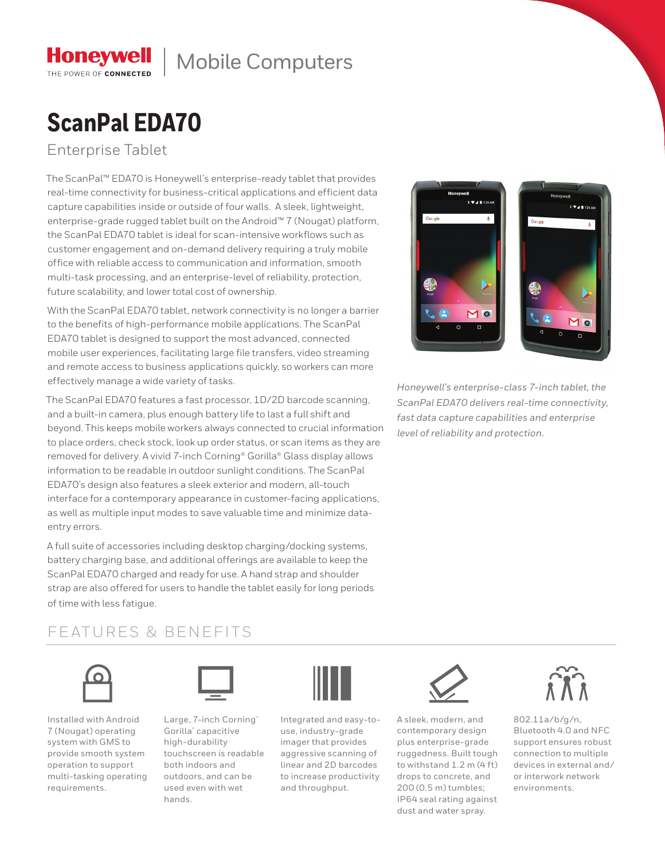## Mobile Computers

## **ScanPal EDA70**

#### Enterprise Tablet

**Honeywell** THE POWER OF CONNECTED

The ScanPal™ EDA70 is Honeywell's enterprise-ready tablet that provides real-time connectivity for business-critical applications and efficient data capture capabilities inside or outside of four walls. A sleek, lightweight, enterprise-grade rugged tablet built on the Android™ 7 (Nougat) platform, the ScanPal EDA70 tablet is ideal for scan-intensive workflows such as customer engagement and on-demand delivery requiring a truly mobile office with reliable access to communication and information, smooth multi-task processing, and an enterprise-level of reliability, protection, future scalability, and lower total cost of ownership.

With the ScanPal EDA70 tablet, network connectivity is no longer a barrier to the benefits of high-performance mobile applications. The ScanPal EDA70 tablet is designed to support the most advanced, connected mobile user experiences, facilitating large file transfers, video streaming and remote access to business applications quickly, so workers can more effectively manage a wide variety of tasks.

The ScanPal EDA70 features a fast processor, 1D/2D barcode scanning, and a built-in camera, plus enough battery life to last a full shift and beyond. This keeps mobile workers always connected to crucial information to place orders, check stock, look up order status, or scan items as they are removed for delivery. A vivid 7-inch Corning® Gorilla® Glass display allows information to be readable in outdoor sunlight conditions. The ScanPal EDA70's design also features a sleek exterior and modern, all-touch interface for a contemporary appearance in customer-facing applications, as well as multiple input modes to save valuable time and minimize dataentry errors.

A full suite of accessories including desktop charging/docking systems, battery charging base, and additional offerings are available to keep the ScanPal EDA70 charged and ready for use. A hand strap and shoulder strap are also offered for users to handle the tablet easily for long periods of time with less fatigue.

# $*$   $*$  4 | 1:26  $M<sub>o</sub>$

*Honeywell's enterprise-class 7-inch tablet, the ScanPal EDA70 delivers real-time connectivity, fast data capture capabilities and enterprise level of reliability and protection.*

### FEATURES & BENEFITS



Installed with Android 7 (Nougat) operating system with GMS to provide smooth system operation to support multi-tasking operating requirements.



Large, 7-inch Corning® Gorilla® capacitive high-durability touchscreen is readable both indoors and outdoors, and can be used even with wet hands.



Integrated and easy-touse, industry-grade imager that provides aggressive scanning of linear and 2D barcodes to increase productivity and throughput.



A sleek, modern, and contemporary design plus enterprise-grade ruggedness. Built tough to withstand 1.2 m (4 ft) drops to concrete, and 200 (0.5 m) tumbles; IP64 seal rating against dust and water spray.



802.11a/b/g/n, Bluetooth 4.0 and NFC support ensures robust connection to multiple devices in external and/ or interwork network environments.